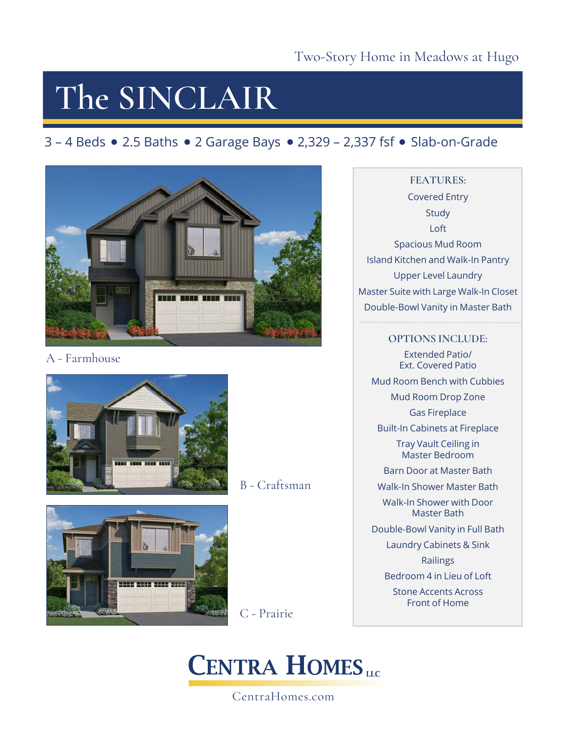# **The SINCLAIR**

### $3 - 4$  Beds  $\bullet$  2.5 Baths  $\bullet$  2 Garage Bays  $\bullet$  2,329 – 2,337 fsf  $\bullet$  Slab-on-Grade



A - Farmhouse



B - Craftsman



C - Prairie

### **CENTRA HOMES**

CentraHomes.com

### **FEATURES:** Covered Entry

**Study** Loft Spacious Mud Room Island Kitchen and Walk-In Pantry Upper Level Laundry Master Suite with Large Walk-In Closet Double-Bowl Vanity in Master Bath

**OPTIONS INCLUDE:** Extended Patio/ Ext. Covered Patio Mud Room Bench with Cubbies Mud Room Drop Zone Gas Fireplace Built-In Cabinets at Fireplace Tray Vault Ceiling in Master Bedroom Barn Door at Master Bath Walk-In Shower Master Bath Walk-In Shower with Door Master Bath Double-Bowl Vanity in Full Bath Laundry Cabinets & Sink Railings

Bedroom 4 in Lieu of Loft

Stone Accents Across Front of Home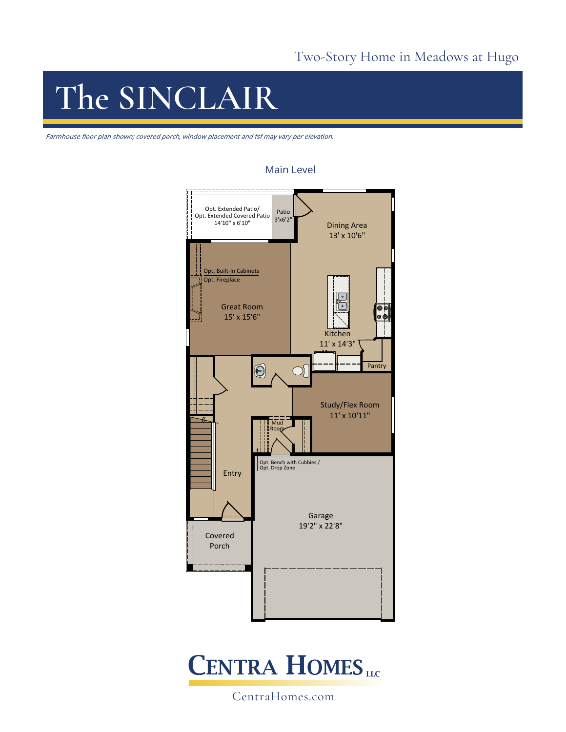# **The SINCLAIR**

Farmhouse floor plan shown; covered porch, window placement and fsf may vary per elevation.



#### Main Level



CentraHomes.com